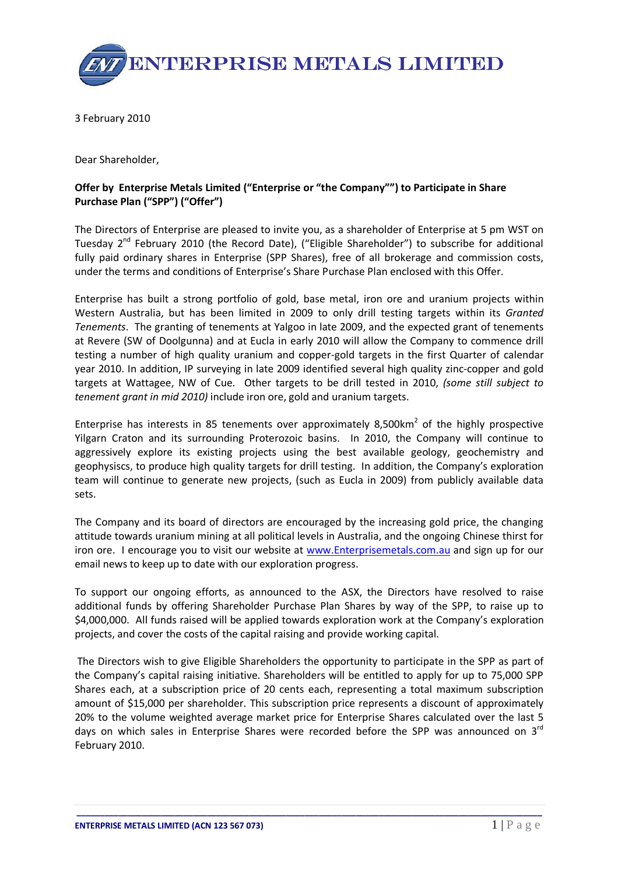

3 February 2010

Dear Shareholder,

## Offer by Enterprise Metals Limited ("Enterprise or "the Company"") to Participate in Share Purchase Plan ("SPP") ("Offer")

The Directors of Enterprise are pleased to invite you, as a shareholder of Enterprise at 5 pm WST on Tuesday  $2^{nd}$  February 2010 (the Record Date), ("Eligible Shareholder") to subscribe for additional fully paid ordinary shares in Enterprise (SPP Shares), free of all brokerage and commission costs, under the terms and conditions of Enterprise's Share Purchase Plan enclosed with this Offer.

Enterprise has built a strong portfolio of gold, base metal, iron ore and uranium projects within Western Australia, but has been limited in 2009 to only drill testing targets within its Granted Tenements. The granting of tenements at Yalgoo in late 2009, and the expected grant of tenements at Revere (SW of Doolgunna) and at Eucla in early 2010 will allow the Company to commence drill testing a number of high quality uranium and copper-gold targets in the first Quarter of calendar year 2010. In addition, IP surveying in late 2009 identified several high quality zinc-copper and gold targets at Wattagee, NW of Cue. Other targets to be drill tested in 2010, (some still subject to tenement grant in mid 2010) include iron ore, gold and uranium targets.

Enterprise has interests in 85 tenements over approximately 8,500 $km^2$  of the highly prospective Yilgarn Craton and its surrounding Proterozoic basins. In 2010, the Company will continue to aggressively explore its existing projects using the best available geology, geochemistry and geophysiscs, to produce high quality targets for drill testing. In addition, the Company's exploration team will continue to generate new projects, (such as Eucla in 2009) from publicly available data sets.

The Company and its board of directors are encouraged by the increasing gold price, the changing attitude towards uranium mining at all political levels in Australia, and the ongoing Chinese thirst for iron ore. I encourage you to visit our website at www.Enterprisemetals.com.au and sign up for our email news to keep up to date with our exploration progress.

To support our ongoing efforts, as announced to the ASX, the Directors have resolved to raise additional funds by offering Shareholder Purchase Plan Shares by way of the SPP, to raise up to \$4,000,000. All funds raised will be applied towards exploration work at the Company's exploration projects, and cover the costs of the capital raising and provide working capital.

 The Directors wish to give Eligible Shareholders the opportunity to participate in the SPP as part of the Company's capital raising initiative. Shareholders will be entitled to apply for up to 75,000 SPP Shares each, at a subscription price of 20 cents each, representing a total maximum subscription amount of \$15,000 per shareholder. This subscription price represents a discount of approximately 20% to the volume weighted average market price for Enterprise Shares calculated over the last 5 days on which sales in Enterprise Shares were recorded before the SPP was announced on  $3<sup>rd</sup>$ February 2010.

\_\_\_\_\_\_\_\_\_\_\_\_\_\_\_\_\_\_\_\_\_\_\_\_\_\_\_\_\_\_\_\_\_\_\_\_\_\_\_\_\_\_\_\_\_\_\_\_\_\_\_\_\_\_\_\_\_\_\_\_\_\_\_\_\_\_\_\_\_\_\_\_\_\_\_\_\_\_\_\_\_\_\_\_\_\_\_\_\_\_\_\_\_\_\_\_\_\_\_\_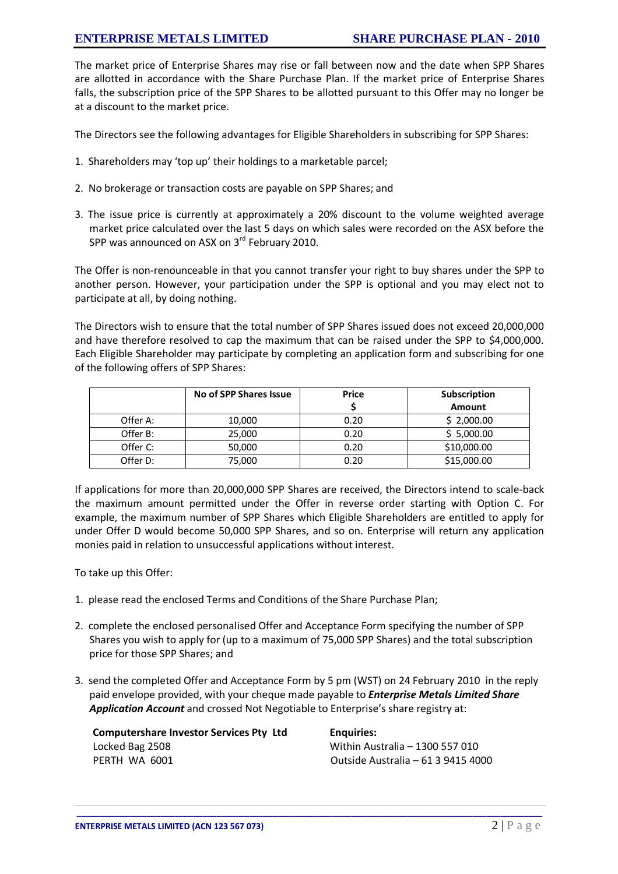The market price of Enterprise Shares may rise or fall between now and the date when SPP Shares are allotted in accordance with the Share Purchase Plan. If the market price of Enterprise Shares falls, the subscription price of the SPP Shares to be allotted pursuant to this Offer may no longer be at a discount to the market price.

The Directors see the following advantages for Eligible Shareholders in subscribing for SPP Shares:

- 1. Shareholders may 'top up' their holdings to a marketable parcel;
- 2. No brokerage or transaction costs are payable on SPP Shares; and
- 3. The issue price is currently at approximately a 20% discount to the volume weighted average market price calculated over the last 5 days on which sales were recorded on the ASX before the SPP was announced on ASX on 3<sup>rd</sup> February 2010.

The Offer is non-renounceable in that you cannot transfer your right to buy shares under the SPP to another person. However, your participation under the SPP is optional and you may elect not to participate at all, by doing nothing.

The Directors wish to ensure that the total number of SPP Shares issued does not exceed 20,000,000 and have therefore resolved to cap the maximum that can be raised under the SPP to \$4,000,000. Each Eligible Shareholder may participate by completing an application form and subscribing for one of the following offers of SPP Shares:

|          | No of SPP Shares Issue | <b>Price</b> | Subscription |
|----------|------------------------|--------------|--------------|
|          |                        |              | Amount       |
| Offer A: | 10,000                 | 0.20         | \$2,000.00   |
| Offer B: | 25,000                 | 0.20         | \$5,000.00   |
| Offer C: | 50,000                 | 0.20         | \$10,000.00  |
| Offer D: | 75,000                 | 0.20         | \$15,000.00  |

If applications for more than 20,000,000 SPP Shares are received, the Directors intend to scale-back the maximum amount permitted under the Offer in reverse order starting with Option C. For example, the maximum number of SPP Shares which Eligible Shareholders are entitled to apply for under Offer D would become 50,000 SPP Shares, and so on. Enterprise will return any application monies paid in relation to unsuccessful applications without interest.

To take up this Offer:

- 1. please read the enclosed Terms and Conditions of the Share Purchase Plan;
- 2. complete the enclosed personalised Offer and Acceptance Form specifying the number of SPP Shares you wish to apply for (up to a maximum of 75,000 SPP Shares) and the total subscription price for those SPP Shares; and
- 3. send the completed Offer and Acceptance Form by 5 pm (WST) on 24 February 2010 in the reply paid envelope provided, with your cheque made payable to *Enterprise Metals Limited Share* Application Account and crossed Not Negotiable to Enterprise's share registry at:

\_\_\_\_\_\_\_\_\_\_\_\_\_\_\_\_\_\_\_\_\_\_\_\_\_\_\_\_\_\_\_\_\_\_\_\_\_\_\_\_\_\_\_\_\_\_\_\_\_\_\_\_\_\_\_\_\_\_\_\_\_\_\_\_\_\_\_\_\_\_\_\_\_\_\_\_\_\_\_\_\_\_\_\_\_\_\_\_\_\_\_\_\_\_\_\_\_\_\_\_

| <b>Computershare Investor Services Pty Ltd</b> |
|------------------------------------------------|
| Locked Bag 2508                                |
| PERTH WA 6001                                  |

Enquiries: Within Australia – 1300 557 010 Outside Australia – 61 3 9415 4000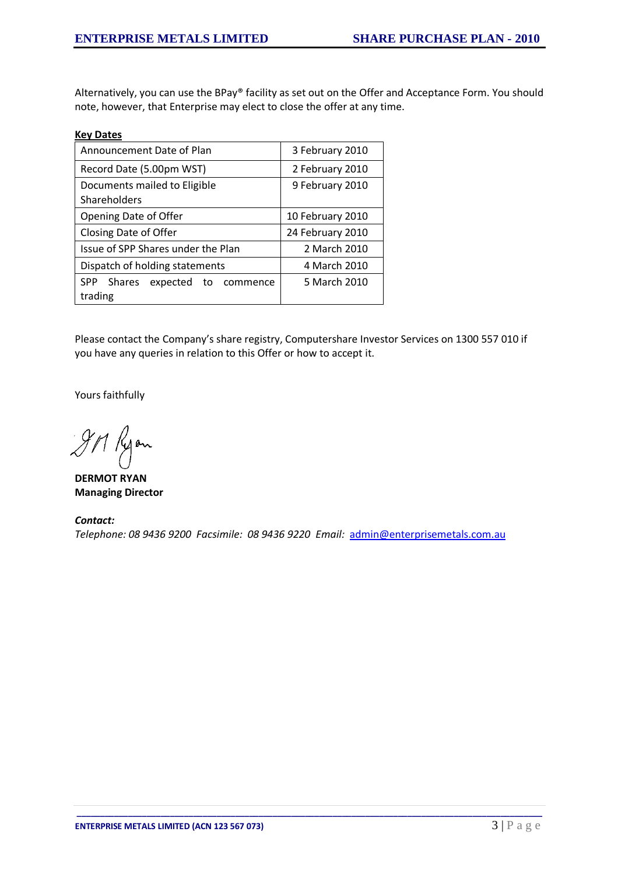Alternatively, you can use the BPay® facility as set out on the Offer and Acceptance Form. You should note, however, that Enterprise may elect to close the offer at any time.

## Key Dates

| Announcement Date of Plan                                  | 3 February 2010  |
|------------------------------------------------------------|------------------|
| Record Date (5.00pm WST)                                   | 2 February 2010  |
| Documents mailed to Eligible<br>Shareholders               | 9 February 2010  |
| Opening Date of Offer                                      | 10 February 2010 |
| Closing Date of Offer                                      | 24 February 2010 |
| Issue of SPP Shares under the Plan                         | 2 March 2010     |
| Dispatch of holding statements                             | 4 March 2010     |
| <b>SPP</b><br>Shares<br>expected<br>to commence<br>trading | 5 March 2010     |

Please contact the Company's share registry, Computershare Investor Services on 1300 557 010 if you have any queries in relation to this Offer or how to accept it.

Yours faithfully

JM Kyon

DERMOT RYAN Managing Director

Contact: Telephone: 08 9436 9200 Facsimile: 08 9436 9220 Email: [admin@enterprisemetals.com.au](mailto:admin@enterprisemetals.com.au)

\_\_\_\_\_\_\_\_\_\_\_\_\_\_\_\_\_\_\_\_\_\_\_\_\_\_\_\_\_\_\_\_\_\_\_\_\_\_\_\_\_\_\_\_\_\_\_\_\_\_\_\_\_\_\_\_\_\_\_\_\_\_\_\_\_\_\_\_\_\_\_\_\_\_\_\_\_\_\_\_\_\_\_\_\_\_\_\_\_\_\_\_\_\_\_\_\_\_\_\_